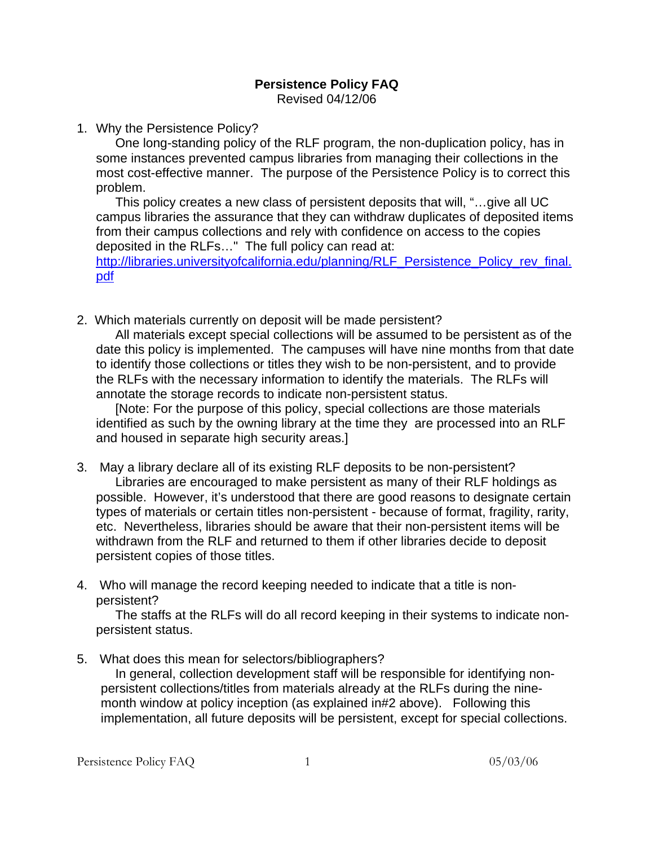## **Persistence Policy FAQ**  Revised 04/12/06

1. Why the Persistence Policy?

One long-standing policy of the RLF program, the non-duplication policy, has in some instances prevented campus libraries from managing their collections in the most cost-effective manner. The purpose of the Persistence Policy is to correct this problem.

This policy creates a new class of persistent deposits that will, "…give all UC campus libraries the assurance that they can withdraw duplicates of deposited items from their campus collections and rely with confidence on access to the copies deposited in the RLFs…" The full policy can read at:

[http://libraries.universityofcalifornia.edu/planning/RLF\\_Persistence\\_Policy\\_rev\\_final.](http://libraries.universityofcalifornia.edu/planning/RLF_Persistence_Policy_rev_final.pdf) [pdf](http://libraries.universityofcalifornia.edu/planning/RLF_Persistence_Policy_rev_final.pdf)

2. Which materials currently on deposit will be made persistent?

All materials except special collections will be assumed to be persistent as of the date this policy is implemented. The campuses will have nine months from that date to identify those collections or titles they wish to be non-persistent, and to provide the RLFs with the necessary information to identify the materials. The RLFs will annotate the storage records to indicate non-persistent status.

[Note: For the purpose of this policy, special collections are those materials identified as such by the owning library at the time they are processed into an RLF and housed in separate high security areas.]

- 3. May a library declare all of its existing RLF deposits to be non-persistent? Libraries are encouraged to make persistent as many of their RLF holdings as possible. However, it's understood that there are good reasons to designate certain types of materials or certain titles non-persistent - because of format, fragility, rarity, etc. Nevertheless, libraries should be aware that their non-persistent items will be withdrawn from the RLF and returned to them if other libraries decide to deposit persistent copies of those titles.
- 4. Who will manage the record keeping needed to indicate that a title is nonpersistent?

The staffs at the RLFs will do all record keeping in their systems to indicate nonpersistent status.

5. What does this mean for selectors/bibliographers?

In general, collection development staff will be responsible for identifying nonpersistent collections/titles from materials already at the RLFs during the ninemonth window at policy inception (as explained in#2 above). Following this implementation, all future deposits will be persistent, except for special collections.